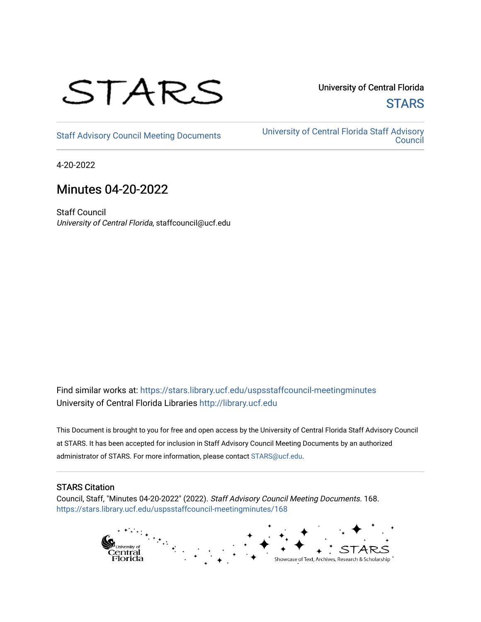

University of Central Florida **STARS** 

[Staff Advisory Council Meeting Documents](https://stars.library.ucf.edu/uspsstaffcouncil-meetingminutes) [University of Central Florida Staff Advisory](https://stars.library.ucf.edu/uspsstaffcouncil)  **Council** 

4-20-2022

# Minutes 04-20-2022

Staff Council University of Central Florida, staffcouncil@ucf.edu

Find similar works at: <https://stars.library.ucf.edu/uspsstaffcouncil-meetingminutes> University of Central Florida Libraries [http://library.ucf.edu](http://library.ucf.edu/) 

This Document is brought to you for free and open access by the University of Central Florida Staff Advisory Council at STARS. It has been accepted for inclusion in Staff Advisory Council Meeting Documents by an authorized administrator of STARS. For more information, please contact [STARS@ucf.edu.](mailto:STARS@ucf.edu)

# STARS Citation

Council, Staff, "Minutes 04-20-2022" (2022). Staff Advisory Council Meeting Documents. 168. [https://stars.library.ucf.edu/uspsstaffcouncil-meetingminutes/168](https://stars.library.ucf.edu/uspsstaffcouncil-meetingminutes/168?utm_source=stars.library.ucf.edu%2Fuspsstaffcouncil-meetingminutes%2F168&utm_medium=PDF&utm_campaign=PDFCoverPages)

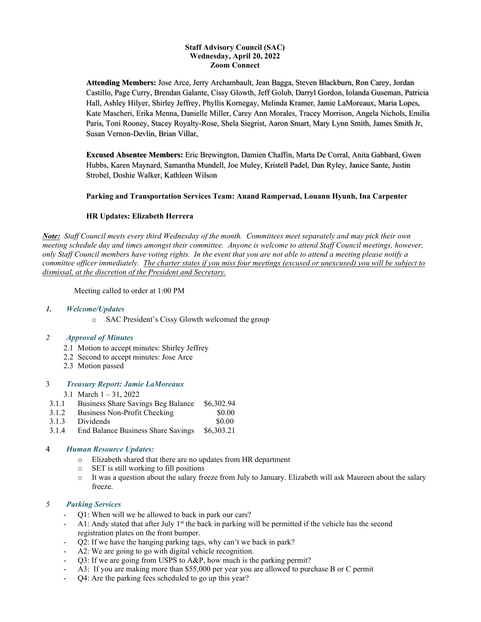### **Staff Advisory Council (SAC) Wednesday, April 20, 2022 Zoom Connect**

**Attending Members:** Jose Arce, Jerry Archambault, Jean Bagga, Steven Blackburn, Ron Carey, Jordan Castillo, Page Curry, Brendan Galante, Cissy Glowth, Jeff Golub, Darryl Gordon, Iolanda Guseman, Patricia Hall, Ashley Hilyer, Shirley Jeffrey, Phyllis Kornegay, Melinda Kramer, Jamie LaMoreaux, Maria Lopes, Kate Mascheri, Erika Menna, Danielle Miller, Carey Ann Morales, Tracey Morrison, Angela Nichols, Emilia Paris, Toni Rooney, Stacey Royalty-Rose, Shela Siegrist, Aaron Smart, Mary Lynn Smith, James Smith Jr, Susan Vernon-Devlin, Brian Villar,

**Excused Absentee Members:** Eric Brewington, Damien Chaffin, Marta De Corral, Anita Gabbard, Gwen Hubbs, Karen Maynard, Samantha Mundell, Joe Muley, Kristell Padel, Dan Ryley, Janice Sante, Justin Strobel, Doshie Walker, Kathleen Wilson

# **Parking and Transportation Services Team: Anand Rampersad, Louann Hyunh, Ina Carpenter**

# **HR Updates: Elizabeth Herrera**

*Note: Staff Council meets every third Wednesday of the month. Committees meet separately and may pick their own meeting schedule day and times amongst their committee. Anyone is welcome to attend Staff Council meetings, however, only Staff Council members have voting rights. In the event that you are not able to attend a meeting please notify a committee officer immediately. The charter states if you miss four meetings (excused or unexcused) you will be subject to dismissal, at the discretion of the President and Secretary.*

Meeting called to order at 1:00 PM

#### *1. Welcome/Updates*

o SAC President's Cissy Glowth welcomed the group

#### *2 Approval of Minutes*

- 2.1 Motion to accept minutes: Shirley Jeffrey
- 2.2 Second to accept minutes: Jose Arce
- 2.3 Motion passed

#### 3 *Treasury Report: Jamie LaMoreaux*

- 3.1 March 1 31, 2022
- 3.1.1 Business Share Savings Beg Balance \$6,302.94
- 3.1.2 Business Non-Profit Checking \$0.00
- 3.1.3 Dividends \$0.00
- 3.1.4 End Balance Business Share Savings \$6,303.21

#### 4 *Human Resource Updates:*

- o Elizabeth shared that there are no updates from HR department
- o SET is still working to fill positions
- o It was a question about the salary freeze from July to January. Elizabeth will ask Maureen about the salary freeze.

#### *5 Parking Services*

- Q1: When will we be allowed to back in park our cars?
- A1: Andy stated that after July  $1<sup>st</sup>$  the back in parking will be permitted if the vehicle has the second registration plates on the front bumper.
- Q2: If we have the hanging parking tags, why can't we back in park?
- A2: We are going to go with digital vehicle recognition.
- Q3: If we are going from USPS to A&P, how much is the parking permit?
- A3: If you are making more than \$55,000 per year you are allowed to purchase B or C permit
- Q4: Are the parking fees scheduled to go up this year?